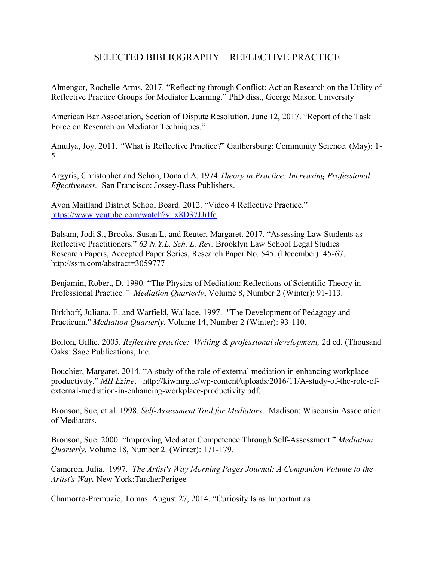## SELECTED BIBLIOGRAPHY – REFLECTIVE PRACTICE

Almengor, Rochelle Arms. 2017. "Reflecting through Conflict: Action Research on the Utility of Reflective Practice Groups for Mediator Learning." PhD diss., George Mason University

American Bar Association, Section of Dispute Resolution. June 12, 2017. "Report of the Task Force on Research on Mediator Techniques."

Amulya, Joy. 2011. *"*What is Reflective Practice?" Gaithersburg: Community Science. (May): 1- 5.

Argyris, Christopher and Schön, Donald A. 1974 *Theory in Practice: Increasing Professional Effectiveness.* San Francisco: Jossey-Bass Publishers.

Avon Maitland District School Board. 2012. "Video 4 Reflective Practice." <https://www.youtube.com/watch?v=x8D37JJrIfc>

Balsam, Jodi S., Brooks, Susan L. and Reuter, Margaret. 2017. "Assessing Law Students as Reflective Practitioners." *62 N.Y.L. Sch. L. Rev.* Brooklyn Law School Legal Studies Research Papers, Accepted Paper Series, Research Paper No. 545. (December): 45-67. http://ssrn.com/abstract=3059777

Benjamin, Robert, D. 1990. "The Physics of Mediation: Reflections of Scientific Theory in Professional Practice*." Mediation Quarterly*, Volume 8, Number 2 (Winter): 91-113.

Birkhoff, Juliana. E. and Warfield, Wallace. 1997. "The Development of Pedagogy and Practicum." *Mediation Quarterly*, Volume 14, Number 2 (Winter): 93-110.

Bolton, Gillie. 2005. *Reflective practice: Writing & professional development,* 2d ed. (Thousand Oaks: Sage Publications, Inc.

Bouchier, Margaret. 2014. "A study of the role of external mediation in enhancing workplace productivity." *MII Ezine*. http://kiwmrg.ie/wp-content/uploads/2016/11/A-study-of-the-role-ofexternal-mediation-in-enhancing-workplace-productivity.pdf.

Bronson, Sue, et al. 1998. *Self-Assessment Tool for Mediators*. Madison: Wisconsin Association of Mediators.

Bronson, Sue. 2000. "Improving Mediator Competence Through Self-Assessment." *Mediation Quarterly*. Volume 18, Number 2. (Winter): 171-179.

Cameron, Julia. 1997. *The Artist's Way Morning Pages Journal: A Companion Volume to the Artist's Way.* New York:TarcherPerigee

Chamorro-Premuzic, Tomas. August 27, 2014. "Curiosity Is as Important as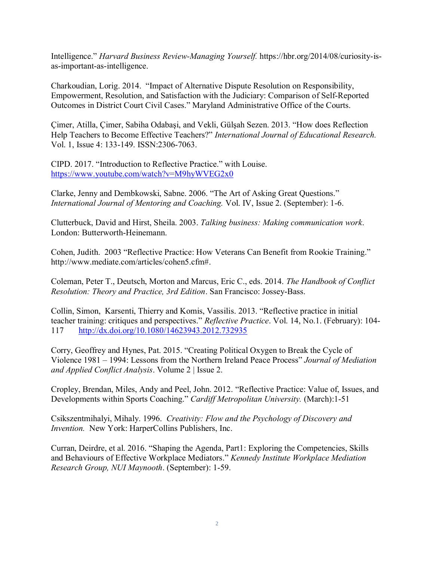Intelligence." *Harvard Business Review-Managing Yourself.* https://hbr.org/2014/08/curiosity-isas-important-as-intelligence.

Charkoudian, Lorig. 2014. "Impact of Alternative Dispute Resolution on Responsibility, Empowerment, Resolution, and Satisfaction with the Judiciary: Comparison of Self-Reported Outcomes in District Court Civil Cases." Maryland Administrative Office of the Courts.

Çimer, Atilla, Çimer, Sabiha Odabaşi, and Vekli, Gülşah Sezen. 2013. "How does Reflection Help Teachers to Become Effective Teachers?" *International Journal of Educational Research.* Vol. 1, Issue 4: 133-149. ISSN:2306-7063.

CIPD. 2017. "Introduction to Reflective Practice." with Louise. <https://www.youtube.com/watch?v=M9hyWVEG2x0>

Clarke, Jenny and Dembkowski, Sabne. 2006. "The Art of Asking Great Questions." *International Journal of Mentoring and Coaching.* Vol. IV, Issue 2. (September): 1-6.

Clutterbuck, David and Hirst, Sheila. 2003. *Talking business: Making communication work*. London: Butterworth-Heinemann.

Cohen, Judith. 2003 "Reflective Practice: How Veterans Can Benefit from Rookie Training." [http://www.mediate.com/articles/cohen5.cfm#.](http://www.mediate.com/articles/cohen5.cfm)

Coleman, Peter T., Deutsch, Morton and Marcus, Eric C., eds. 2014. *The Handbook of Conflict Resolution: Theory and Practice, 3rd Edition*. San Francisco: Jossey-Bass.

Collin, Simon, Karsenti, Thierry and Komis, Vassilis. 2013. "Reflective practice in initial teacher training: critiques and perspectives." *Reflective Practice*. Vol. 14, No.1. (February): 104- 117 <http://dx.doi.org/10.1080/14623943.2012.732935>

Corry, Geoffrey and Hynes, Pat. 2015. "Creating Political Oxygen to Break the Cycle of Violence 1981 – 1994: Lessons from the Northern Ireland Peace Process" *Journal of Mediation and Applied Conflict Analysis*. Volume 2 | Issue 2.

Cropley, Brendan, Miles, Andy and Peel, John. 2012. "Reflective Practice: Value of, Issues, and Developments within Sports Coaching." *Cardiff Metropolitan University.* (March):1-51

Csikszentmihalyi, Mihaly. 1996. *Creativity: Flow and the Psychology of Discovery and Invention.* New York: HarperCollins Publishers, Inc.

Curran, Deirdre, et al. 2016. "Shaping the Agenda, Part1: Exploring the Competencies, Skills and Behaviours of Effective Workplace Mediators." *Kennedy Institute Workplace Mediation Research Group, NUI Maynooth*. (September): 1-59.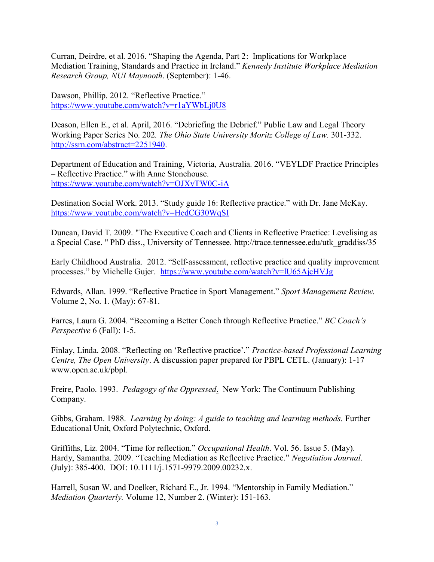Curran, Deirdre, et al. 2016. "Shaping the Agenda, Part 2: Implications for Workplace Mediation Training, Standards and Practice in Ireland." *Kennedy Institute Workplace Mediation Research Group, NUI Maynooth*. (September): 1-46.

Dawson, Phillip. 2012. "Reflective Practice." <https://www.youtube.com/watch?v=r1aYWbLj0U8>

Deason, Ellen E., et al. April, 2016. "Debriefing the Debrief." Public Law and Legal Theory Working Paper Series No. 202*. The Ohio State University Moritz College of Law.* 301-332. [http://ssrn.com/abstract=2251940.](http://ssrn.com/abstract=2251940)

Department of Education and Training, Victoria, Australia. 2016. "VEYLDF Practice Principles – Reflective Practice." with Anne Stonehouse. <https://www.youtube.com/watch?v=OJXvTW0C-iA>

Destination Social Work. 2013. "Study guide 16: Reflective practice." with Dr. Jane McKay. <https://www.youtube.com/watch?v=HedCG30WqSI>

Duncan, David T. 2009. "The Executive Coach and Clients in Reflective Practice: Levelising as a Special Case. " PhD diss., University of Tennessee. http://trace.tennessee.edu/utk\_graddiss/35

Early Childhood Australia. 2012. "Self-assessment, reflective practice and quality improvement processes." by Michelle Gujer. <https://www.youtube.com/watch?v=lU65AjcHVJg>

Edwards, Allan. 1999. "Reflective Practice in Sport Management." *Sport Management Review.* Volume 2, No. 1. (May): 67-81.

Farres, Laura G. 2004. "Becoming a Better Coach through Reflective Practice." *BC Coach's Perspective* 6 (Fall): 1-5.

Finlay, Linda. 2008. "Reflecting on 'Reflective practice'." *Practice-based Professional Learning Centre, The Open University*. A discussion paper prepared for PBPL CETL. (January): 1-17 www.open.ac.uk/pbpl.

Freire, Paolo. 1993. *Pedagogy of the Oppressed*. New York: The Continuum Publishing Company.

Gibbs, Graham. 1988. *Learning by doing: A guide to teaching and learning methods.* Further Educational Unit, Oxford Polytechnic, Oxford.

Griffiths, Liz. 2004. "Time for reflection." *Occupational Health*. Vol. 56. Issue 5. (May). Hardy, Samantha. 2009. "Teaching Mediation as Reflective Practice." *Negotiation Journal*. (July): 385-400. DOI: 10.1111/j.1571-9979.2009.00232.x.

Harrell, Susan W. and Doelker, Richard E., Jr. 1994. "Mentorship in Family Mediation." *Mediation Quarterly.* Volume 12, Number 2. (Winter): 151-163.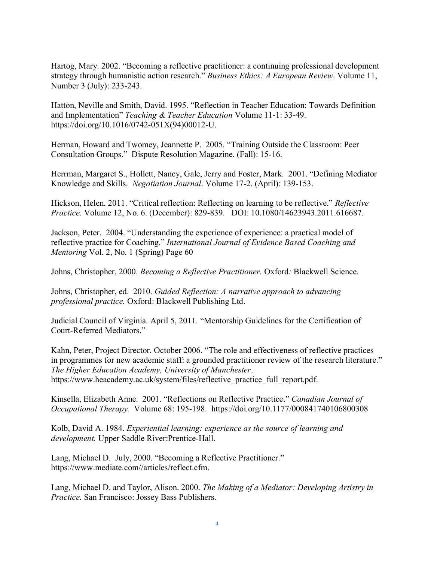Hartog, Mary. 2002. "Becoming a reflective practitioner: a continuing professional development strategy through humanistic action research." *Business Ethics: A European Review*. Volume 11, Number 3 (July): 233-243.

Hatton, Neville and Smith, David. 1995. "Reflection in Teacher Education: Towards Definition and Implementation" *Teaching & Teacher Education* Volume 11-1: 33-49. [https://doi.org/10.1016/0742-051X\(94\)00012-U.](https://doi.org/10.1016/0742-051X(94)00012-U)

Herman, Howard and Twomey, Jeannette P. 2005. "Training Outside the Classroom: Peer Consultation Groups." Dispute Resolution Magazine. (Fall): 15-16.

Herrman, Margaret S., Hollett, Nancy, Gale, Jerry and Foster, Mark. 2001. "Defining Mediator Knowledge and Skills. *Negotiation Journal*. Volume 17-2. (April): 139-153.

Hickson, Helen. 2011. "Critical reflection: Reflecting on learning to be reflective." *Reflective Practice.* Volume 12, No. 6. (December): 829-839. DOI: 10.1080/14623943.2011.616687.

Jackson, Peter. 2004. "Understanding the experience of experience: a practical model of reflective practice for Coaching." *International Journal of Evidence Based Coaching and Mentoring* Vol. 2, No. 1 (Spring) Page 60

Johns, Christopher. 2000. *Becoming a Reflective Practitioner.* Oxford*:* Blackwell Science.

Johns, Christopher, ed. 2010. *Guided Reflection: A narrative approach to advancing professional practice.* Oxford: Blackwell Publishing Ltd.

Judicial Council of Virginia. April 5, 2011. "Mentorship Guidelines for the Certification of Court-Referred Mediators."

Kahn, Peter, Project Director. October 2006. "The role and effectiveness of reflective practices in programmes for new academic staff: a grounded practitioner review of the research literature." *The Higher Education Academy, University of Manchester*. https://www.heacademy.ac.uk/system/files/reflective\_practice\_full\_report.pdf.

Kinsella, Elizabeth Anne. 2001. "Reflections on Reflective Practice." *Canadian Journal of Occupational Therapy.* Volume 68: 195-198. <https://doi.org/10.1177/000841740106800308>

Kolb, David A. 1984. *Experiential learning: experience as the source of learning and development.* Upper Saddle River:Prentice-Hall.

Lang, Michael D. July, 2000. "Becoming a Reflective Practitioner." https://www.mediate.com//articles/reflect.cfm.

Lang, Michael D. and Taylor, Alison. 2000. *The Making of a Mediator: Developing Artistry in Practice.* San Francisco: Jossey Bass Publishers.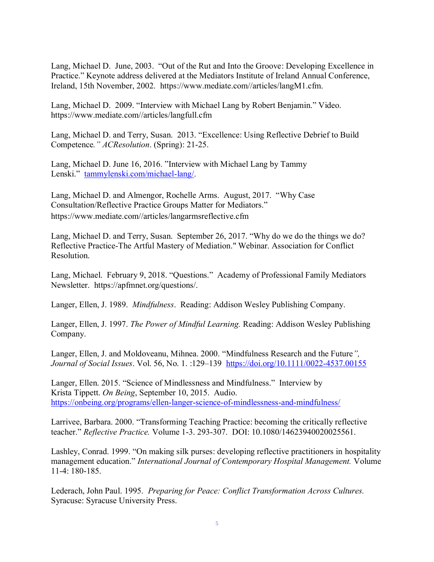Lang, Michael D. June, 2003. "Out of the Rut and Into the Groove: Developing Excellence in Practice." Keynote address delivered at the Mediators Institute of Ireland Annual Conference, Ireland, 15th November, 2002. https://www.mediate.com//articles/langM1.cfm.

Lang, Michael D. 2009. "Interview with Michael Lang by Robert Benjamin." Video. https://www.mediate.com//articles/langfull.cfm

Lang, Michael D. and Terry, Susan. 2013. "Excellence: Using Reflective Debrief to Build Competence*." ACResolution*. (Spring): 21-25.

Lang, Michael D. June 16, 2016. "Interview with Michael Lang by Tammy Lenski." [tammylenski.com/michael-lang/.](http://tammylenski.com/michael-lang/)

Lang, Michael D. and Almengor, Rochelle Arms. August, 2017. "Why Case Consultation/Reflective Practice Groups Matter for Mediators." https://www.mediate.com//articles/langarmsreflective.cfm

Lang, Michael D. and Terry, Susan. September 26, 2017. "Why do we do the things we do? Reflective Practice-The Artful Mastery of Mediation." Webinar. Association for Conflict Resolution.

Lang, Michael. February 9, 2018. "Questions." Academy of Professional Family Mediators Newsletter. https://apfmnet.org/questions/.

Langer, Ellen, J. 1989. *Mindfulness*. Reading: Addison Wesley Publishing Company.

Langer, Ellen, J. 1997. *The Power of Mindful Learning.* Reading: Addison Wesley Publishing Company.

Langer, Ellen, J. and Moldoveanu, Mihnea. 2000. "Mindfulness Research and the Future*", Journal of Social Issues*. Vol. 56, No. 1. :129–139 <https://doi.org/10.1111/0022-4537.00155>

Langer, Ellen. 2015. "Science of Mindlessness and Mindfulness." Interview by Krista Tippett. *On Being*, September 10, 2015. Audio. <https://onbeing.org/programs/ellen-langer-science-of-mindlessness-and-mindfulness/>

Larrivee, Barbara. 2000. "Transforming Teaching Practice: becoming the critically reflective teacher." *Reflective Practice.* Volume 1-3. 293-307. DOI: 10.1080/14623940020025561.

Lashley, Conrad. 1999. "On making silk purses: developing reflective practitioners in hospitality management education." *International Journal of Contemporary Hospital Management.* Volume 11-4: 180-185.

Lederach, John Paul. 1995. *Preparing for Peace: Conflict Transformation Across Cultures.* Syracuse: Syracuse University Press.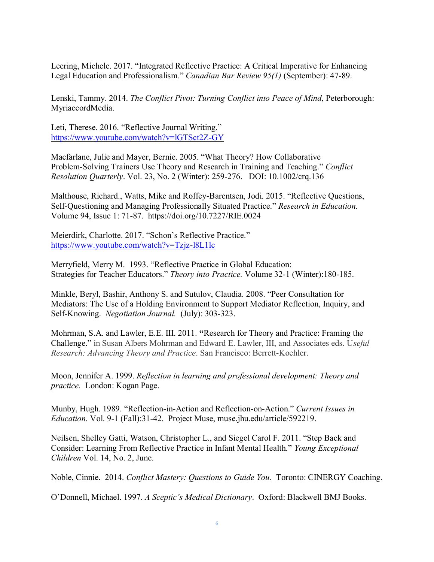Leering, Michele. 2017. "Integrated Reflective Practice: A Critical Imperative for Enhancing Legal Education and Professionalism." *Canadian Bar Review 95(1)* (September): 47-89.

Lenski, Tammy. 2014. *The Conflict Pivot: Turning Conflict into Peace of Mind*, Peterborough: MyriaccordMedia.

Leti, Therese. 2016. "Reflective Journal Writing." <https://www.youtube.com/watch?v=lGTSct2Z-GY>

Macfarlane, Julie and Mayer, Bernie. 2005. "What Theory? How Collaborative Problem-Solving Trainers Use Theory and Research in Training and Teaching." *Conflict Resolution Quarterly*. Vol. 23, No. 2 (Winter): 259-276. DOI: 10.1002/crq.136

Malthouse, Richard., Watts, Mike and Roffey-Barentsen, Jodi. 2015. "Reflective Questions, Self-Questioning and Managing Professionally Situated Practice." *Research in Education.* Volume 94, Issue 1: 71-87. <https://doi.org/10.7227/RIE.0024>

Meierdirk, Charlotte. 2017. "Schon's Reflective Practice." <https://www.youtube.com/watch?v=Tzjz-l8L1lc>

Merryfield, Merry M. 1993. "Reflective Practice in Global Education: Strategies for Teacher Educators." *Theory into Practice.* Volume 32-1 (Winter):180-185.

Minkle, Beryl, Bashir, Anthony S. and Sutulov, Claudia. 2008. "Peer Consultation for Mediators: The Use of a Holding Environment to Support Mediator Reflection, Inquiry, and Self-Knowing. *Negotiation Journal.* (July): 303-323.

Mohrman, S.A. and Lawler, E.E. III. 2011. **"**Research for Theory and Practice: Framing the Challenge." in Susan Albers Mohrman and Edward E. Lawler, III, and Associates eds. U*seful Research: Advancing Theory and Practice*. San Francisco: Berrett-Koehler.

Moon, Jennifer A. 1999. *Reflection in learning and professional development: Theory and practice.* London: Kogan Page.

Munby, Hugh. 1989. "Reflection-in-Action and Reflection-on-Action." *Current Issues in Education.* Vol. 9-1 (Fall):31-42. Project Muse, muse.jhu.edu/article/592219.

Neilsen, Shelley Gatti, Watson, Christopher L., and Siegel Carol F. 2011. "Step Back and Consider: Learning From Reflective Practice in Infant Mental Health." *Young Exceptional Children* Vol. 14, No. 2, June.

Noble, Cinnie. 2014. *Conflict Mastery: Questions to Guide You*. Toronto: CINERGY Coaching.

O'Donnell, Michael. 1997. *A Sceptic's Medical Dictionary*. Oxford: Blackwell BMJ Books.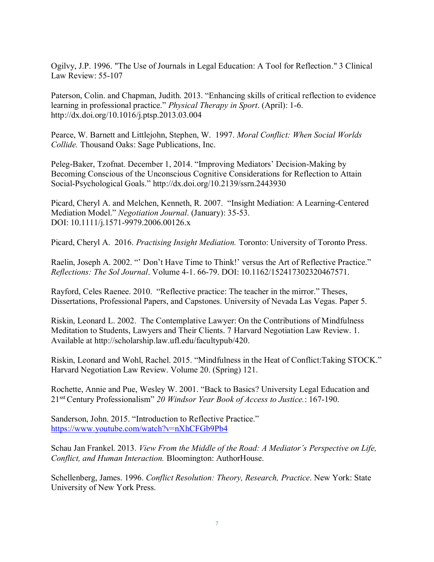Ogilvy, J.P. 1996. "The Use of Journals in Legal Education: A Tool for Reflection." 3 Clinical Law Review: 55-107

Paterson, Colin. and Chapman, Judith. 2013. "Enhancing skills of critical reflection to evidence learning in professional practice." *Physical Therapy in Sport*. (April): 1-6. http://dx.doi.org/10.1016/j.ptsp.2013.03.004

Pearce, W. Barnett and Littlejohn, Stephen, W. 1997. *Moral Conflict: When Social Worlds Collide.* Thousand Oaks: Sage Publications, Inc.

Peleg-Baker, Tzofnat. December 1, 2014. "Improving Mediators' Decision-Making by Becoming Conscious of the Unconscious Cognitive Considerations for Reflection to Attain Social-Psychological Goals." [http://dx.doi.org/10.2139/ssrn.2443930](https://dx.doi.org/10.2139/ssrn.2443930)

Picard, Cheryl A. and Melchen, Kenneth, R. 2007. "Insight Mediation: A Learning-Centered Mediation Model." *Negotiation Journal*. (January): 35-53. DOI: 10.1111/j.1571-9979.2006.00126.x

Picard, Cheryl A. 2016. *Practising Insight Mediation.* Toronto: University of Toronto Press.

Raelin, Joseph A. 2002. "' Don't Have Time to Think!' versus the Art of Reflective Practice." *Reflections: The Sol Journal*. Volume 4-1. 66-79. DOI: 10.1162/152417302320467571.

Rayford, Celes Raenee. 2010. "Reflective practice: The teacher in the mirror." Theses, Dissertations, Professional Papers, and Capstones. University of Nevada Las Vegas. Paper 5.

Riskin, Leonard L. 2002. The Contemplative Lawyer: On the Contributions of Mindfulness Meditation to Students, Lawyers and Their Clients. 7 Harvard Negotiation Law Review. 1. Available at [http://scholarship.law.ufl.edu/facultypub/420.](http://scholarship.law.ufl.edu/facultypub/420)

Riskin, Leonard and Wohl, Rachel. 2015. "Mindfulness in the Heat of Conflict:Taking STOCK." Harvard Negotiation Law Review. Volume 20. (Spring) 121.

Rochette, Annie and Pue, Wesley W. 2001. "Back to Basics? University Legal Education and 21sst Century Professionalism" *20 Windsor Year Book of Access to Justice.*: 167-190.

Sanderson, John. 2015. "Introduction to Reflective Practice." <https://www.youtube.com/watch?v=nXhCFGb9Pb4>

Schau Jan Frankel. 2013. *View From the Middle of the Road: A Mediator's Perspective on Life, Conflict, and Human Interaction.* Bloomington: AuthorHouse.

Schellenberg, James. 1996. *Conflict Resolution: Theory, Research, Practice*. New York: State University of New York Press.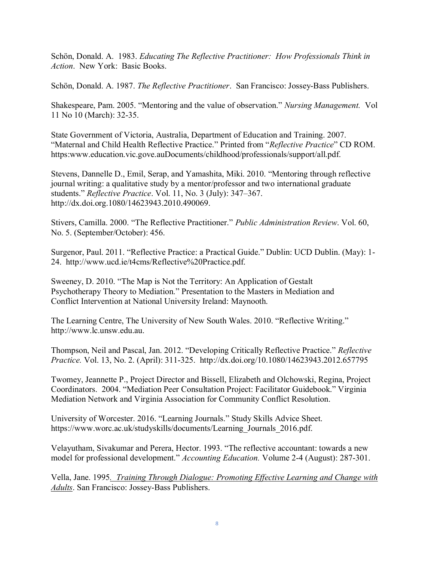Schön, Donald. A. 1983. *Educating The Reflective Practitioner: How Professionals Think in Action*. New York: Basic Books.

Schön, Donald. A. 1987. *The Reflective Practitioner*. San Francisco: Jossey-Bass Publishers.

Shakespeare, Pam. 2005. "Mentoring and the value of observation." *Nursing Management.* Vol 11 No 10 (March): 32-35.

State Government of Victoria, Australia, Department of Education and Training. 2007. "Maternal and Child Health Reflective Practice." Printed from "*Reflective Practice*" CD ROM. https:www.education.vic.gove.auDocuments/childhood/professionals/support/all.pdf.

Stevens, Dannelle D., Emil, Serap, and Yamashita, Miki. 2010. "Mentoring through reflective journal writing: a qualitative study by a mentor/professor and two international graduate students." *Reflective Practice*. Vol. 11, No. 3 (July): 347–367. http://dx.doi.org.1080/14623943.2010.490069.

Stivers, Camilla. 2000. "The Reflective Practitioner." *Public Administration Review*. Vol. 60, No. 5. (September/October): 456.

Surgenor, Paul. 2011. "Reflective Practice: a Practical Guide." Dublin: UCD Dublin. (May): 1- 24. http://www.ucd.ie/t4cms/Reflective%20Practice.pdf.

Sweeney, D. 2010. "The Map is Not the Territory: An Application of Gestalt Psychotherapy Theory to Mediation." Presentation to the Masters in Mediation and Conflict Intervention at National University Ireland: Maynooth.

The Learning Centre, The University of New South Wales. 2010. "Reflective Writing." http://www.lc.unsw.edu.au.

Thompson, Neil and Pascal, Jan. 2012. "Developing Critically Reflective Practice." *Reflective Practice.* Vol. 13, No. 2. (April): 311-325.http://dx.doi.org/10.1080/14623943.2012.657795

Twomey, Jeannette P., Project Director and Bissell, Elizabeth and Olchowski, Regina, Project Coordinators. 2004. "Mediation Peer Consultation Project: Facilitator Guidebook." Virginia Mediation Network and Virginia Association for Community Conflict Resolution.

University of Worcester. 2016. "Learning Journals." Study Skills Advice Sheet. https://www.worc.ac.uk/studyskills/documents/Learning\_Journals\_2016.pdf.

Velayutham, Sivakumar and Perera, Hector. 1993. "The reflective accountant: towards a new model for professional development." *Accounting Education.* Volume 2-4 (August): 287-301.

Vella, Jane. 1995*. Training Through Dialogue: Promoting Effective Learning and Change with Adults*. San Francisco: Jossey-Bass Publishers.